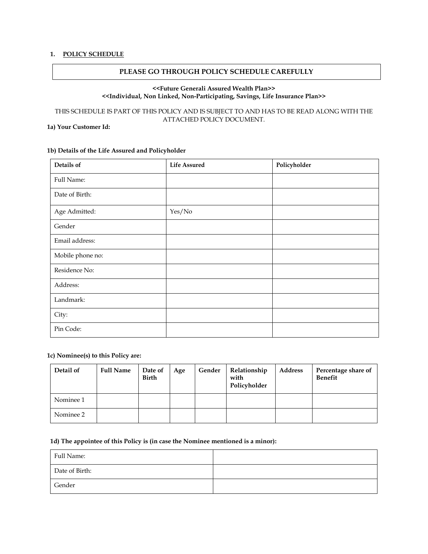### **1. POLICY SCHEDULE**

### **PLEASE GO THROUGH POLICY SCHEDULE CAREFULLY**

### **<<Future Generali Assured Wealth Plan>> <<Individual, Non Linked, Non-Participating, Savings, Life Insurance Plan>>**

# THIS SCHEDULE IS PART OF THIS POLICY AND IS SUBJECT TO AND HAS TO BE READ ALONG WITH THE ATTACHED POLICY DOCUMENT.

# **1a) Your Customer Id:**

### **1b) Details of the Life Assured and Policyholder**

| Details of       | <b>Life Assured</b> | Policyholder |
|------------------|---------------------|--------------|
| Full Name:       |                     |              |
| Date of Birth:   |                     |              |
| Age Admitted:    | Yes/No              |              |
| Gender           |                     |              |
| Email address:   |                     |              |
| Mobile phone no: |                     |              |
| Residence No:    |                     |              |
| Address:         |                     |              |
| Landmark:        |                     |              |
| City:            |                     |              |
| Pin Code:        |                     |              |

### **1c) Nominee(s) to this Policy are:**

| Detail of | <b>Full Name</b> | Date of<br>Birth | Age | Gender | Relationship<br>with<br>Policyholder | <b>Address</b> | Percentage share of<br><b>Benefit</b> |
|-----------|------------------|------------------|-----|--------|--------------------------------------|----------------|---------------------------------------|
| Nominee 1 |                  |                  |     |        |                                      |                |                                       |
| Nominee 2 |                  |                  |     |        |                                      |                |                                       |

#### **1d) The appointee of this Policy is (in case the Nominee mentioned is a minor):**

| Full Name:     |  |
|----------------|--|
| Date of Birth: |  |
| Gender         |  |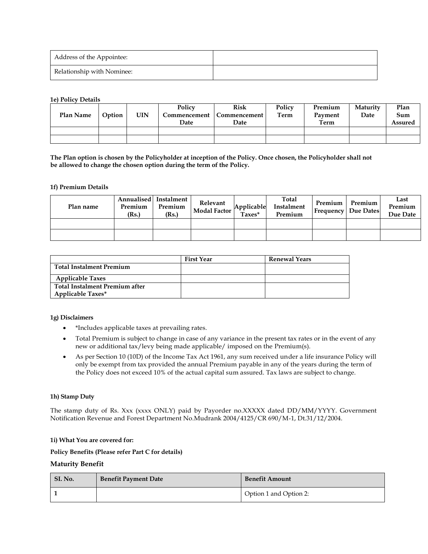| Address of the Appointee:  |  |
|----------------------------|--|
| Relationship with Nominee: |  |

#### **1e) Policy Details**

| Plan Name | Option | <b>UIN</b> | Policy<br>Commencement<br>Date | <b>Risk</b><br><b>Commencement</b><br>Date | Policy<br>Term | Premium<br>Payment<br>Term | Maturity<br>Date | Plan<br>Sum<br>Assured |
|-----------|--------|------------|--------------------------------|--------------------------------------------|----------------|----------------------------|------------------|------------------------|
|           |        |            |                                |                                            |                |                            |                  |                        |
|           |        |            |                                |                                            |                |                            |                  |                        |

**The Plan option is chosen by the Policyholder at inception of the Policy. Once chosen, the Policyholder shall not be allowed to change the chosen option during the term of the Policy.**

#### **1f) Premium Details**

| Plan name | Premium<br>(Rs.) | Annualised Instalment<br>Premium<br>(Rs.) | Relevant<br>Modal Factor | $\frac{1}{\sqrt{\frac{2}{\pi}}\text{Z}}$ | Total<br>Instalment<br>Premium | Premium | Premium<br><b>Frequency</b> Due Dates | Last<br>Premium<br>Due Date |
|-----------|------------------|-------------------------------------------|--------------------------|------------------------------------------|--------------------------------|---------|---------------------------------------|-----------------------------|
|           |                  |                                           |                          |                                          |                                |         |                                       |                             |
|           |                  |                                           |                          |                                          |                                |         |                                       |                             |

|                                       | <b>First Year</b> | <b>Renewal Years</b> |
|---------------------------------------|-------------------|----------------------|
| Total Instalment Premium              |                   |                      |
| <b>Applicable Taxes</b>               |                   |                      |
| <b>Total Instalment Premium after</b> |                   |                      |
| <b>Applicable Taxes*</b>              |                   |                      |

#### **1g) Disclaimers**

- \*Includes applicable taxes at prevailing rates.
- Total Premium is subject to change in case of any variance in the present tax rates or in the event of any new or additional tax/levy being made applicable/ imposed on the Premium(s).
- As per Section 10 (10D) of the Income Tax Act 1961, any sum received under a life insurance Policy will only be exempt from tax provided the annual Premium payable in any of the years during the term of the Policy does not exceed 10% of the actual capital sum assured. Tax laws are subject to change.

### **1h) Stamp Duty**

The stamp duty of Rs. Xxx (xxxx ONLY) paid by Payorder no.XXXXX dated DD/MM/YYYY. Government Notification Revenue and Forest Department No.Mudrank 2004/4125/CR 690/M-1, Dt.31/12/2004.

#### **1i) What You are covered for:**

**Policy Benefits (Please refer Part C for details)**

#### **Maturity Benefit**

| SI. No. | <b>Benefit Payment Date</b> | <b>Benefit Amount</b>  |
|---------|-----------------------------|------------------------|
|         |                             | Option 1 and Option 2: |